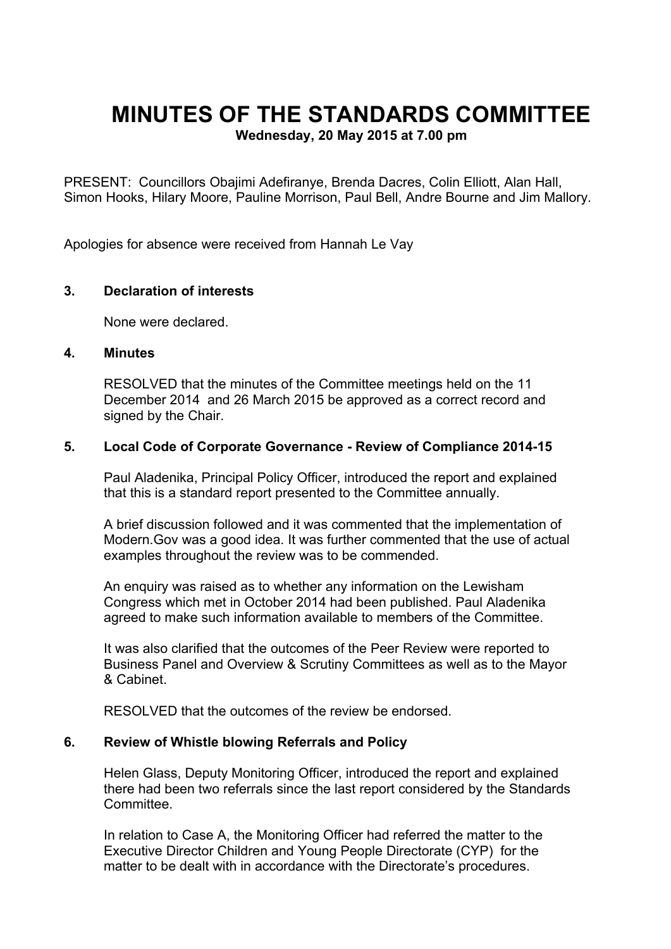# **MINUTES OF THE STANDARDS COMMITTEE**

**Wednesday, 20 May 2015 at 7.00 pm**

PRESENT: Councillors Obajimi Adefiranye, Brenda Dacres, Colin Elliott, Alan Hall, Simon Hooks, Hilary Moore, Pauline Morrison, Paul Bell, Andre Bourne and Jim Mallory.

Apologies for absence were received from Hannah Le Vay

# **3. Declaration of interests**

None were declared.

#### **4. Minutes**

RESOLVED that the minutes of the Committee meetings held on the 11 December 2014 and 26 March 2015 be approved as a correct record and signed by the Chair.

#### **5. Local Code of Corporate Governance - Review of Compliance 2014-15**

Paul Aladenika, Principal Policy Officer, introduced the report and explained that this is a standard report presented to the Committee annually.

A brief discussion followed and it was commented that the implementation of Modern.Gov was a good idea. It was further commented that the use of actual examples throughout the review was to be commended.

An enquiry was raised as to whether any information on the Lewisham Congress which met in October 2014 had been published. Paul Aladenika agreed to make such information available to members of the Committee.

It was also clarified that the outcomes of the Peer Review were reported to Business Panel and Overview & Scrutiny Committees as well as to the Mayor & Cabinet.

RESOLVED that the outcomes of the review be endorsed.

## **6. Review of Whistle blowing Referrals and Policy**

Helen Glass, Deputy Monitoring Officer, introduced the report and explained there had been two referrals since the last report considered by the Standards **Committee.** 

In relation to Case A, the Monitoring Officer had referred the matter to the Executive Director Children and Young People Directorate (CYP) for the matter to be dealt with in accordance with the Directorate's procedures.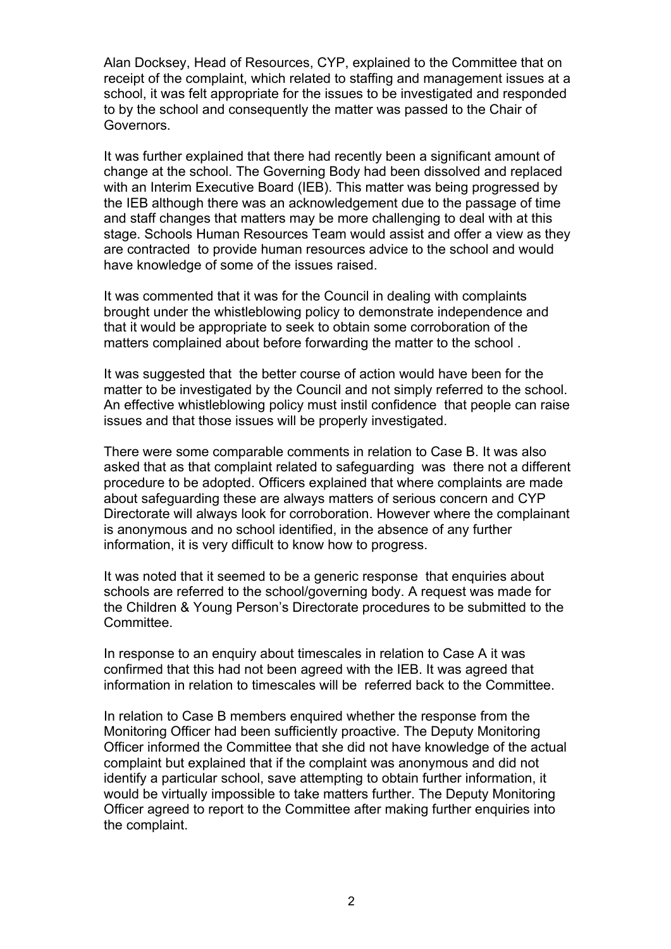Alan Docksey, Head of Resources, CYP, explained to the Committee that on receipt of the complaint, which related to staffing and management issues at a school, it was felt appropriate for the issues to be investigated and responded to by the school and consequently the matter was passed to the Chair of Governors.

It was further explained that there had recently been a significant amount of change at the school. The Governing Body had been dissolved and replaced with an Interim Executive Board (IEB). This matter was being progressed by the IEB although there was an acknowledgement due to the passage of time and staff changes that matters may be more challenging to deal with at this stage. Schools Human Resources Team would assist and offer a view as they are contracted to provide human resources advice to the school and would have knowledge of some of the issues raised.

It was commented that it was for the Council in dealing with complaints brought under the whistleblowing policy to demonstrate independence and that it would be appropriate to seek to obtain some corroboration of the matters complained about before forwarding the matter to the school .

It was suggested that the better course of action would have been for the matter to be investigated by the Council and not simply referred to the school. An effective whistleblowing policy must instil confidence that people can raise issues and that those issues will be properly investigated.

There were some comparable comments in relation to Case B. It was also asked that as that complaint related to safeguarding was there not a different procedure to be adopted. Officers explained that where complaints are made about safeguarding these are always matters of serious concern and CYP Directorate will always look for corroboration. However where the complainant is anonymous and no school identified, in the absence of any further information, it is very difficult to know how to progress.

It was noted that it seemed to be a generic response that enquiries about schools are referred to the school/governing body. A request was made for the Children & Young Person's Directorate procedures to be submitted to the Committee.

In response to an enquiry about timescales in relation to Case A it was confirmed that this had not been agreed with the IEB. It was agreed that information in relation to timescales will be referred back to the Committee.

In relation to Case B members enquired whether the response from the Monitoring Officer had been sufficiently proactive. The Deputy Monitoring Officer informed the Committee that she did not have knowledge of the actual complaint but explained that if the complaint was anonymous and did not identify a particular school, save attempting to obtain further information, it would be virtually impossible to take matters further. The Deputy Monitoring Officer agreed to report to the Committee after making further enquiries into the complaint.